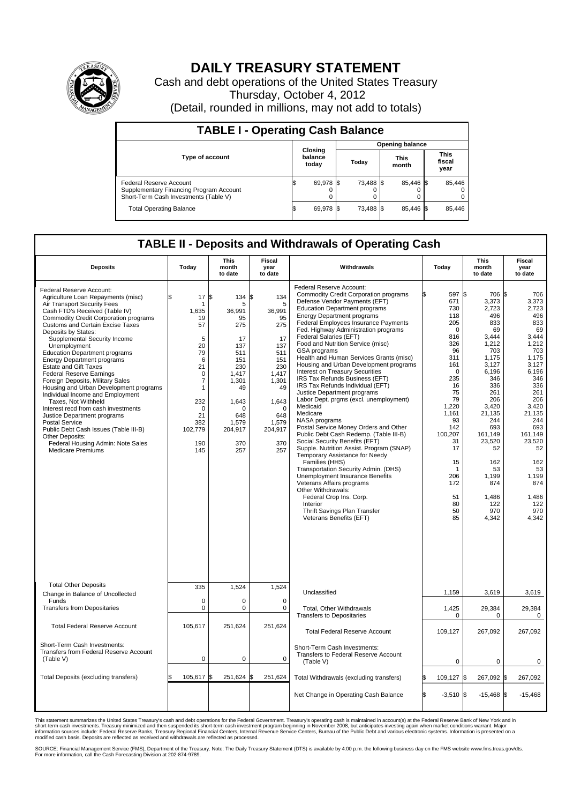

## **DAILY TREASURY STATEMENT**

Cash and debt operations of the United States Treasury Thursday, October 4, 2012 (Detail, rounded in millions, may not add to totals)

| <b>TABLE I - Operating Cash Balance</b>                                                                     |                             |           |                        |           |  |                      |                               |        |  |  |  |
|-------------------------------------------------------------------------------------------------------------|-----------------------------|-----------|------------------------|-----------|--|----------------------|-------------------------------|--------|--|--|--|
|                                                                                                             | Closing<br>balance<br>today |           | <b>Opening balance</b> |           |  |                      |                               |        |  |  |  |
| <b>Type of account</b>                                                                                      |                             |           | Today                  |           |  | <b>This</b><br>month | <b>This</b><br>fiscal<br>year |        |  |  |  |
| Federal Reserve Account<br>Supplementary Financing Program Account<br>Short-Term Cash Investments (Table V) | IФ                          | 69,978 \$ |                        | 73,488 \$ |  | 85.446 \$<br>0       |                               | 85,446 |  |  |  |
| <b>Total Operating Balance</b>                                                                              | IΦ                          | 69,978    |                        | 73,488 \$ |  | 85.446 \$            |                               | 85,446 |  |  |  |

## **TABLE II - Deposits and Withdrawals of Operating Cash**

| <b>Deposits</b>                                                                                                                                                                                                                                                                                                                                                                                                                                                                                                                                                                                                                                                                                                                                                                                                        | Todav                                                                                                                                                            | This<br>month<br>to date                                                                                                                                | Fiscal<br>year<br>to date                                                                                                                                        | Withdrawals                                                                                                                                                                                                                                                                                                                                                                                                                                                                                                                                                                                                                                                                                                                                                                                                                                                                                                                                                                                                                                                                                                                              | Today                                                                                                                                                                                                                           | This<br>month<br>to date                                                                                                                                                                                                                              | Fiscal<br>year<br>to date                                                                                                                                                                                                                          |  |  |  |
|------------------------------------------------------------------------------------------------------------------------------------------------------------------------------------------------------------------------------------------------------------------------------------------------------------------------------------------------------------------------------------------------------------------------------------------------------------------------------------------------------------------------------------------------------------------------------------------------------------------------------------------------------------------------------------------------------------------------------------------------------------------------------------------------------------------------|------------------------------------------------------------------------------------------------------------------------------------------------------------------|---------------------------------------------------------------------------------------------------------------------------------------------------------|------------------------------------------------------------------------------------------------------------------------------------------------------------------|------------------------------------------------------------------------------------------------------------------------------------------------------------------------------------------------------------------------------------------------------------------------------------------------------------------------------------------------------------------------------------------------------------------------------------------------------------------------------------------------------------------------------------------------------------------------------------------------------------------------------------------------------------------------------------------------------------------------------------------------------------------------------------------------------------------------------------------------------------------------------------------------------------------------------------------------------------------------------------------------------------------------------------------------------------------------------------------------------------------------------------------|---------------------------------------------------------------------------------------------------------------------------------------------------------------------------------------------------------------------------------|-------------------------------------------------------------------------------------------------------------------------------------------------------------------------------------------------------------------------------------------------------|----------------------------------------------------------------------------------------------------------------------------------------------------------------------------------------------------------------------------------------------------|--|--|--|
| Federal Reserve Account:<br>Agriculture Loan Repayments (misc)<br>Air Transport Security Fees<br>Cash FTD's Received (Table IV)<br><b>Commodity Credit Corporation programs</b><br><b>Customs and Certain Excise Taxes</b><br>Deposits by States:<br>Supplemental Security Income<br>Unemployment<br><b>Education Department programs</b><br><b>Energy Department programs</b><br><b>Estate and Gift Taxes</b><br><b>Federal Reserve Earnings</b><br>Foreign Deposits, Military Sales<br>Housing and Urban Development programs<br>Individual Income and Employment<br>Taxes, Not Withheld<br>Interest recd from cash investments<br>Justice Department programs<br><b>Postal Service</b><br>Public Debt Cash Issues (Table III-B)<br>Other Deposits:<br>Federal Housing Admin: Note Sales<br><b>Medicare Premiums</b> | 17S<br>\$.<br>1<br>1.635<br>19<br>57<br>5<br>20<br>79<br>6<br>21<br>$\mathbf 0$<br>7<br>$\mathbf{1}$<br>232<br>$\mathbf 0$<br>21<br>382<br>102,779<br>190<br>145 | 134<br>5<br>36,991<br>95<br>275<br>17<br>137<br>511<br>151<br>230<br>1,417<br>1,301<br>49<br>1,643<br>$\Omega$<br>648<br>1.579<br>204,917<br>370<br>257 | S.<br>134<br>5<br>36,991<br>95<br>275<br>17<br>137<br>511<br>151<br>230<br>1,417<br>1,301<br>49<br>1,643<br>$\mathbf 0$<br>648<br>1.579<br>204,917<br>370<br>257 | Federal Reserve Account:<br><b>Commodity Credit Corporation programs</b><br>Defense Vendor Payments (EFT)<br><b>Education Department programs</b><br><b>Energy Department programs</b><br>Federal Employees Insurance Payments<br>Fed. Highway Administration programs<br>Federal Salaries (EFT)<br>Food and Nutrition Service (misc)<br>GSA programs<br>Health and Human Services Grants (misc)<br>Housing and Urban Development programs<br><b>Interest on Treasury Securities</b><br>IRS Tax Refunds Business (EFT)<br>IRS Tax Refunds Individual (EFT)<br>Justice Department programs<br>Labor Dept. prgms (excl. unemployment)<br>Medicaid<br>Medicare<br>NASA programs<br>Postal Service Money Orders and Other<br>Public Debt Cash Redemp. (Table III-B)<br>Social Security Benefits (EFT)<br>Supple. Nutrition Assist. Program (SNAP)<br>Temporary Assistance for Needy<br>Families (HHS)<br>Transportation Security Admin. (DHS)<br><b>Unemployment Insurance Benefits</b><br>Veterans Affairs programs<br>Other Withdrawals:<br>Federal Crop Ins. Corp.<br>Interior<br>Thrift Savings Plan Transfer<br>Veterans Benefits (EFT) | 597 \$<br>671<br>730<br>118<br>205<br>$\mathbf 0$<br>816<br>326<br>96<br>311<br>161<br>$\Omega$<br>235<br>16<br>75<br>79<br>1.220<br>1,161<br>93<br>142<br>100,207<br>31<br>17<br>15<br>1<br>206<br>172<br>51<br>80<br>50<br>85 | 706 \$<br>3,373<br>2.723<br>496<br>833<br>69<br>3,444<br>1,212<br>703<br>1.175<br>3,127<br>6,196<br>346<br>336<br>261<br>206<br>3.420<br>21,135<br>244<br>693<br>161,149<br>23,520<br>52<br>162<br>53<br>1,199<br>874<br>1,486<br>122<br>970<br>4,342 | 706<br>3,373<br>2,723<br>496<br>833<br>69<br>3,444<br>1,212<br>703<br>1,175<br>3,127<br>6,196<br>346<br>336<br>261<br>206<br>3.420<br>21,135<br>244<br>693<br>161,149<br>23,520<br>52<br>162<br>53<br>1,199<br>874<br>1,486<br>122<br>970<br>4,342 |  |  |  |
| <b>Total Other Deposits</b><br>Change in Balance of Uncollected                                                                                                                                                                                                                                                                                                                                                                                                                                                                                                                                                                                                                                                                                                                                                        | 335                                                                                                                                                              | 1.524                                                                                                                                                   | 1,524                                                                                                                                                            | Unclassified                                                                                                                                                                                                                                                                                                                                                                                                                                                                                                                                                                                                                                                                                                                                                                                                                                                                                                                                                                                                                                                                                                                             | 1,159                                                                                                                                                                                                                           | 3,619                                                                                                                                                                                                                                                 | 3,619                                                                                                                                                                                                                                              |  |  |  |
| Funds<br><b>Transfers from Depositaries</b>                                                                                                                                                                                                                                                                                                                                                                                                                                                                                                                                                                                                                                                                                                                                                                            | $\mathbf 0$<br>0                                                                                                                                                 | 0<br>$\mathbf 0$                                                                                                                                        | $\mathbf 0$<br>$\mathbf 0$                                                                                                                                       | <b>Total. Other Withdrawals</b><br><b>Transfers to Depositaries</b>                                                                                                                                                                                                                                                                                                                                                                                                                                                                                                                                                                                                                                                                                                                                                                                                                                                                                                                                                                                                                                                                      | 1,425<br>$\mathbf 0$                                                                                                                                                                                                            | 29,384<br>0                                                                                                                                                                                                                                           | 29,384<br>0                                                                                                                                                                                                                                        |  |  |  |
| <b>Total Federal Reserve Account</b>                                                                                                                                                                                                                                                                                                                                                                                                                                                                                                                                                                                                                                                                                                                                                                                   | 105,617                                                                                                                                                          | 251,624                                                                                                                                                 | 251,624                                                                                                                                                          | <b>Total Federal Reserve Account</b>                                                                                                                                                                                                                                                                                                                                                                                                                                                                                                                                                                                                                                                                                                                                                                                                                                                                                                                                                                                                                                                                                                     | 109,127                                                                                                                                                                                                                         | 267,092                                                                                                                                                                                                                                               | 267,092                                                                                                                                                                                                                                            |  |  |  |
| Short-Term Cash Investments:<br>Transfers from Federal Reserve Account<br>(Table V)                                                                                                                                                                                                                                                                                                                                                                                                                                                                                                                                                                                                                                                                                                                                    | $\mathbf 0$                                                                                                                                                      | $\mathbf 0$                                                                                                                                             | $\mathbf 0$                                                                                                                                                      | Short-Term Cash Investments:<br>Transfers to Federal Reserve Account<br>(Table V)                                                                                                                                                                                                                                                                                                                                                                                                                                                                                                                                                                                                                                                                                                                                                                                                                                                                                                                                                                                                                                                        | $\mathbf 0$                                                                                                                                                                                                                     | 0                                                                                                                                                                                                                                                     | 0                                                                                                                                                                                                                                                  |  |  |  |
| Total Deposits (excluding transfers)                                                                                                                                                                                                                                                                                                                                                                                                                                                                                                                                                                                                                                                                                                                                                                                   | 105,617 \$                                                                                                                                                       | 251,624                                                                                                                                                 | 251,624                                                                                                                                                          | Total Withdrawals (excluding transfers)                                                                                                                                                                                                                                                                                                                                                                                                                                                                                                                                                                                                                                                                                                                                                                                                                                                                                                                                                                                                                                                                                                  | 109,127                                                                                                                                                                                                                         | 267,092                                                                                                                                                                                                                                               | l\$<br>267,092                                                                                                                                                                                                                                     |  |  |  |
|                                                                                                                                                                                                                                                                                                                                                                                                                                                                                                                                                                                                                                                                                                                                                                                                                        |                                                                                                                                                                  |                                                                                                                                                         |                                                                                                                                                                  | Net Change in Operating Cash Balance                                                                                                                                                                                                                                                                                                                                                                                                                                                                                                                                                                                                                                                                                                                                                                                                                                                                                                                                                                                                                                                                                                     | $-3,510$ \$<br>l\$                                                                                                                                                                                                              | $-15,468$ \$                                                                                                                                                                                                                                          | $-15,468$                                                                                                                                                                                                                                          |  |  |  |

This statement summarizes the United States Treasury's cash and debt operations for the Federal Government. Treasury's operating cash is maintained in account(s) at the Federal Reserve Bank of New York and in<br>short-term ca

SOURCE: Financial Management Service (FMS), Department of the Treasury. Note: The Daily Treasury Statement (DTS) is available by 4:00 p.m. the following business day on the FMS website www.fms.treas.gov/dts.<br>For more infor